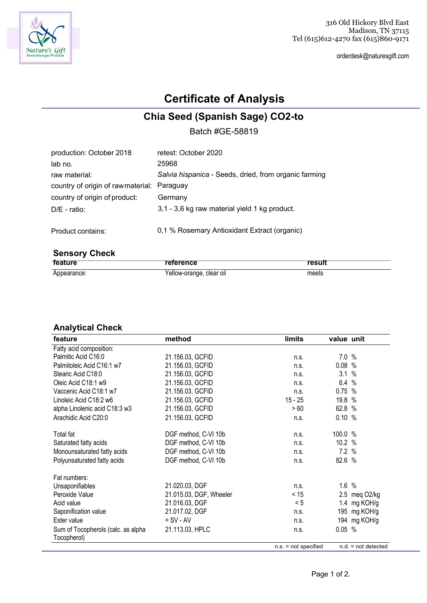

orderdesk@naturesgift.com

# **Certificate of Analysis**

### **Chia Seed (Spanish Sage) CO2-to**

Batch #GE-58819

| production: October 2018                   | retest: October 2020                                  |
|--------------------------------------------|-------------------------------------------------------|
| lab no.                                    | 25968                                                 |
| raw material:                              | Salvia hispanica - Seeds, dried, from organic farming |
| country of origin of rawmaterial: Paraguay |                                                       |
| country of origin of product:              | Germany                                               |
| $D/E$ - ratio:                             | 3,1 - 3,6 kg raw material yield 1 kg product.         |
| Product contains:                          | 0.1 % Rosemary Antioxidant Extract (organic)          |

### **Sensory Check**

| feature     | reference                | result |
|-------------|--------------------------|--------|
| Appearance: | Yellow-orange, clear oil | meets  |

#### **Analytical Check**

| feature                            | method                  | limits                 | value unit |                       |
|------------------------------------|-------------------------|------------------------|------------|-----------------------|
| Fatty acid composition:            |                         |                        |            |                       |
| Palmitic Acid C16:0                | 21.156.03, GCFID        | n.s.                   | 7.0%       |                       |
| Palmitoleic Acid C16:1 w7          | 21.156.03, GCFID        | n.s.                   | 0.08%      |                       |
| Stearic Acid C18:0                 | 21.156.03, GCFID        | n.s.                   | 3.1        | %                     |
| Oleic Acid C18:1 w9                | 21.156.03, GCFID        | n.s.                   | 6.4%       |                       |
| Vaccenic Acid C18:1 w7             | 21.156.03, GCFID        | n.s.                   | 0.75%      |                       |
| Linoleic Acid C18:2 w6             | 21.156.03, GCFID        | $15 - 25$              | 19.8 %     |                       |
| alpha Linolenic acid C18:3 w3      | 21.156.03, GCFID        | > 60                   | 62.8 %     |                       |
| Arachidic Acid C20:0               | 21.156.03, GCFID        | n.s.                   | 0.10%      |                       |
| Total fat                          | DGF method, C-VI 10b    | n.s.                   | 100.0 %    |                       |
| Saturated fatty acids              | DGF method, C-VI 10b    | n.s.                   | 10.2 %     |                       |
| Monounsaturated fatty acids        | DGF method, C-VI 10b    | n.s.                   | 7.2%       |                       |
| Polyunsaturated fatty acids        | DGF method, C-VI 10b    | n.s.                   | 82.6 %     |                       |
| Fat numbers:                       |                         |                        |            |                       |
| Unsaponifiables                    | 21.020.03, DGF          | n.s.                   | 1.6%       |                       |
| Peroxide Value                     | 21.015.03, DGF, Wheeler | < 15                   |            | 2.5 meg O2/kg         |
| Acid value                         | 21.016.03, DGF          | < 5                    |            | 1.4 mg KOH/g          |
| Saponification value               | 21.017.02, DGF          | n.s.                   |            | 195 mg KOH/g          |
| Ester value                        | $=$ SV - AV             | n.s.                   |            | 194 mg KOH/g          |
| Sum of Tocopherols (calc. as alpha | 21.113.03, HPLC         | n.s.                   | 0.05%      |                       |
| Tocopherol)                        |                         |                        |            |                       |
|                                    |                         | $n.s. = not specified$ |            | $n.d. = not detected$ |